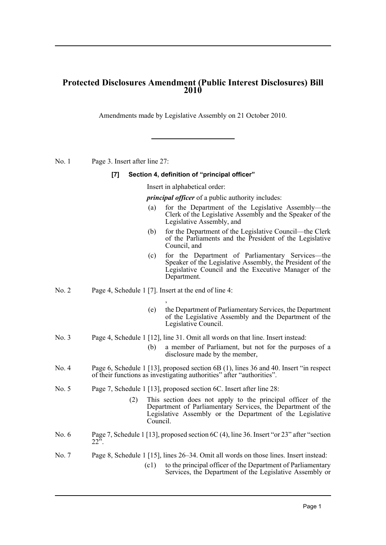## **Protected Disclosures Amendment (Public Interest Disclosures) Bill 2010**

Amendments made by Legislative Assembly on 21 October 2010.

No. 1 Page 3. Insert after line 27:

## **[7] Section 4, definition of "principal officer"**

Insert in alphabetical order:

*principal officer* of a public authority includes:

- (a) for the Department of the Legislative Assembly—the Clerk of the Legislative Assembly and the Speaker of the Legislative Assembly, and
- (b) for the Department of the Legislative Council—the Clerk of the Parliaments and the President of the Legislative Council, and
- (c) for the Department of Parliamentary Services—the Speaker of the Legislative Assembly, the President of the Legislative Council and the Executive Manager of the Department.
- No. 2 Page 4, Schedule 1 [7]. Insert at the end of line 4:
	- (e) the Department of Parliamentary Services, the Department of the Legislative Assembly and the Department of the Legislative Council.
- No. 3 Page 4, Schedule 1 [12], line 31. Omit all words on that line. Insert instead:
	- (b) a member of Parliament, but not for the purposes of a disclosure made by the member,
- No. 4 Page 6, Schedule 1 [13], proposed section 6B (1), lines 36 and 40. Insert "in respect" of their functions as investigating authorities" after "authorities".
- No. 5 Page 7, Schedule 1 [13], proposed section 6C. Insert after line 28:

,

- (2) This section does not apply to the principal officer of the Department of Parliamentary Services, the Department of the Legislative Assembly or the Department of the Legislative Council.
- No. 6 Page 7, Schedule 1 [13], proposed section 6C (4), line 36. Insert "or 23" after "section  $22^{5}$ .
- No. 7 Page 8, Schedule 1 [15], lines 26–34. Omit all words on those lines. Insert instead:
	- (c1) to the principal officer of the Department of Parliamentary Services, the Department of the Legislative Assembly or